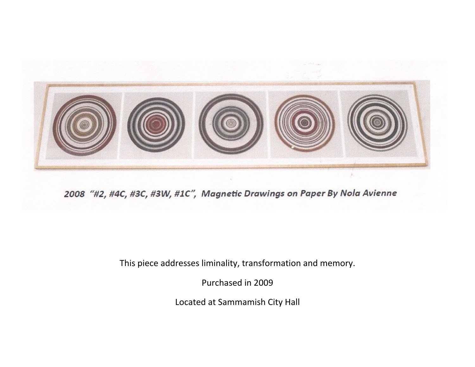

2008 "#2, #4C, #3C, #3W, #1C", Magnetic Drawings on Paper By Nola Avienne

This piece addresses liminality, transformation and memory.

Purchased in 2009

Located at Sammamish City Hall